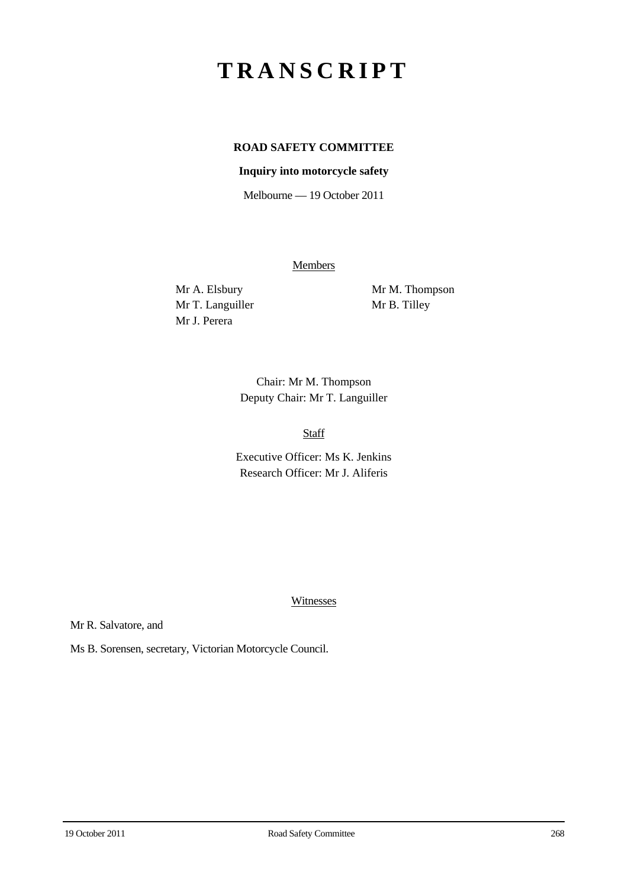# **TRANSCRIPT**

## **ROAD SAFETY COMMITTEE**

#### **Inquiry into motorcycle safety**

Melbourne — 19 October 2011

**Members** 

Mr T. Languiller Mr B. Tilley Mr J. Perera

Mr A. Elsbury Mr M. Thompson

Chair: Mr M. Thompson Deputy Chair: Mr T. Languiller

Staff

Executive Officer: Ms K. Jenkins Research Officer: Mr J. Aliferis

**Witnesses** 

Mr R. Salvatore, and

Ms B. Sorensen, secretary, Victorian Motorcycle Council.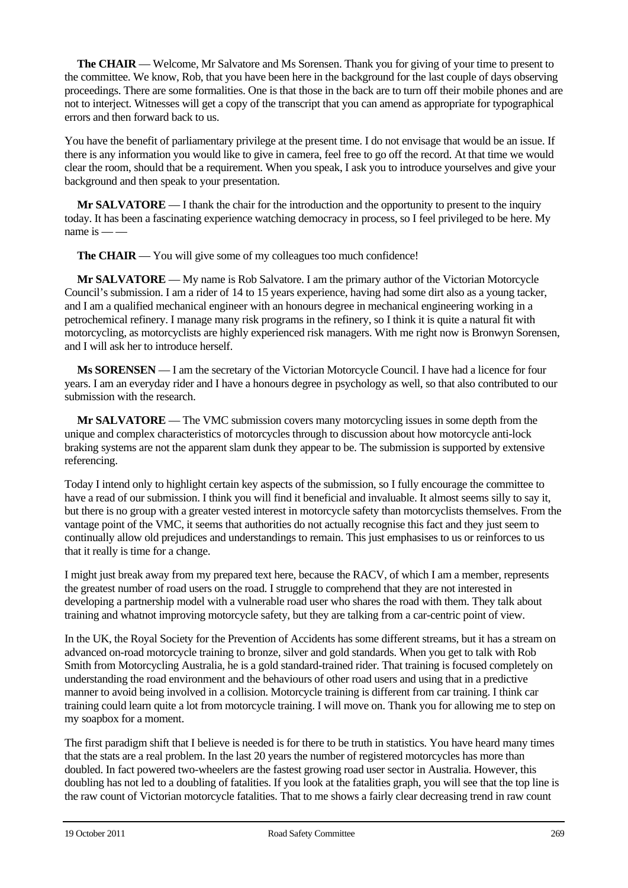**The CHAIR** — Welcome, Mr Salvatore and Ms Sorensen. Thank you for giving of your time to present to the committee. We know, Rob, that you have been here in the background for the last couple of days observing proceedings. There are some formalities. One is that those in the back are to turn off their mobile phones and are not to interject. Witnesses will get a copy of the transcript that you can amend as appropriate for typographical errors and then forward back to us.

You have the benefit of parliamentary privilege at the present time. I do not envisage that would be an issue. If there is any information you would like to give in camera, feel free to go off the record. At that time we would clear the room, should that be a requirement. When you speak, I ask you to introduce yourselves and give your background and then speak to your presentation.

**Mr SALVATORE** — I thank the chair for the introduction and the opportunity to present to the inquiry today. It has been a fascinating experience watching democracy in process, so I feel privileged to be here. My name is  $\frac{1}{2}$ 

**The CHAIR** — You will give some of my colleagues too much confidence!

**Mr SALVATORE** — My name is Rob Salvatore. I am the primary author of the Victorian Motorcycle Council's submission. I am a rider of 14 to 15 years experience, having had some dirt also as a young tacker, and I am a qualified mechanical engineer with an honours degree in mechanical engineering working in a petrochemical refinery. I manage many risk programs in the refinery, so I think it is quite a natural fit with motorcycling, as motorcyclists are highly experienced risk managers. With me right now is Bronwyn Sorensen, and I will ask her to introduce herself.

**Ms SORENSEN** — I am the secretary of the Victorian Motorcycle Council. I have had a licence for four years. I am an everyday rider and I have a honours degree in psychology as well, so that also contributed to our submission with the research.

**Mr SALVATORE** — The VMC submission covers many motorcycling issues in some depth from the unique and complex characteristics of motorcycles through to discussion about how motorcycle anti-lock braking systems are not the apparent slam dunk they appear to be. The submission is supported by extensive referencing.

Today I intend only to highlight certain key aspects of the submission, so I fully encourage the committee to have a read of our submission. I think you will find it beneficial and invaluable. It almost seems silly to say it, but there is no group with a greater vested interest in motorcycle safety than motorcyclists themselves. From the vantage point of the VMC, it seems that authorities do not actually recognise this fact and they just seem to continually allow old prejudices and understandings to remain. This just emphasises to us or reinforces to us that it really is time for a change.

I might just break away from my prepared text here, because the RACV, of which I am a member, represents the greatest number of road users on the road. I struggle to comprehend that they are not interested in developing a partnership model with a vulnerable road user who shares the road with them. They talk about training and whatnot improving motorcycle safety, but they are talking from a car-centric point of view.

In the UK, the Royal Society for the Prevention of Accidents has some different streams, but it has a stream on advanced on-road motorcycle training to bronze, silver and gold standards. When you get to talk with Rob Smith from Motorcycling Australia, he is a gold standard-trained rider. That training is focused completely on understanding the road environment and the behaviours of other road users and using that in a predictive manner to avoid being involved in a collision. Motorcycle training is different from car training. I think car training could learn quite a lot from motorcycle training. I will move on. Thank you for allowing me to step on my soapbox for a moment.

The first paradigm shift that I believe is needed is for there to be truth in statistics. You have heard many times that the stats are a real problem. In the last 20 years the number of registered motorcycles has more than doubled. In fact powered two-wheelers are the fastest growing road user sector in Australia. However, this doubling has not led to a doubling of fatalities. If you look at the fatalities graph, you will see that the top line is the raw count of Victorian motorcycle fatalities. That to me shows a fairly clear decreasing trend in raw count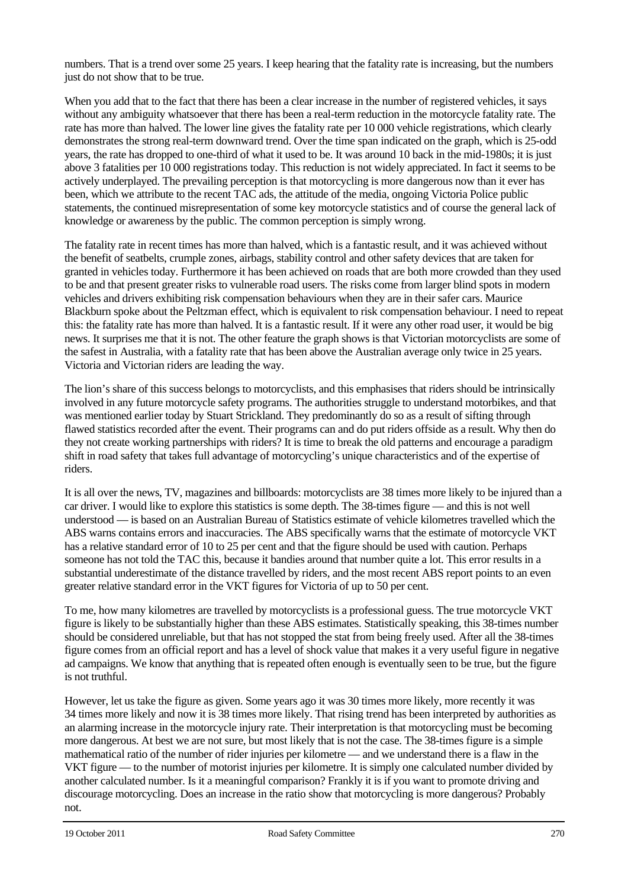numbers. That is a trend over some 25 years. I keep hearing that the fatality rate is increasing, but the numbers just do not show that to be true.

When you add that to the fact that there has been a clear increase in the number of registered vehicles, it says without any ambiguity whatsoever that there has been a real-term reduction in the motorcycle fatality rate. The rate has more than halved. The lower line gives the fatality rate per 10 000 vehicle registrations, which clearly demonstrates the strong real-term downward trend. Over the time span indicated on the graph, which is 25-odd years, the rate has dropped to one-third of what it used to be. It was around 10 back in the mid-1980s; it is just above 3 fatalities per 10 000 registrations today. This reduction is not widely appreciated. In fact it seems to be actively underplayed. The prevailing perception is that motorcycling is more dangerous now than it ever has been, which we attribute to the recent TAC ads, the attitude of the media, ongoing Victoria Police public statements, the continued misrepresentation of some key motorcycle statistics and of course the general lack of knowledge or awareness by the public. The common perception is simply wrong.

The fatality rate in recent times has more than halved, which is a fantastic result, and it was achieved without the benefit of seatbelts, crumple zones, airbags, stability control and other safety devices that are taken for granted in vehicles today. Furthermore it has been achieved on roads that are both more crowded than they used to be and that present greater risks to vulnerable road users. The risks come from larger blind spots in modern vehicles and drivers exhibiting risk compensation behaviours when they are in their safer cars. Maurice Blackburn spoke about the Peltzman effect, which is equivalent to risk compensation behaviour. I need to repeat this: the fatality rate has more than halved. It is a fantastic result. If it were any other road user, it would be big news. It surprises me that it is not. The other feature the graph shows is that Victorian motorcyclists are some of the safest in Australia, with a fatality rate that has been above the Australian average only twice in 25 years. Victoria and Victorian riders are leading the way.

The lion's share of this success belongs to motorcyclists, and this emphasises that riders should be intrinsically involved in any future motorcycle safety programs. The authorities struggle to understand motorbikes, and that was mentioned earlier today by Stuart Strickland. They predominantly do so as a result of sifting through flawed statistics recorded after the event. Their programs can and do put riders offside as a result. Why then do they not create working partnerships with riders? It is time to break the old patterns and encourage a paradigm shift in road safety that takes full advantage of motorcycling's unique characteristics and of the expertise of riders.

It is all over the news, TV, magazines and billboards: motorcyclists are 38 times more likely to be injured than a car driver. I would like to explore this statistics is some depth. The 38-times figure — and this is not well understood — is based on an Australian Bureau of Statistics estimate of vehicle kilometres travelled which the ABS warns contains errors and inaccuracies. The ABS specifically warns that the estimate of motorcycle VKT has a relative standard error of 10 to 25 per cent and that the figure should be used with caution. Perhaps someone has not told the TAC this, because it bandies around that number quite a lot. This error results in a substantial underestimate of the distance travelled by riders, and the most recent ABS report points to an even greater relative standard error in the VKT figures for Victoria of up to 50 per cent.

To me, how many kilometres are travelled by motorcyclists is a professional guess. The true motorcycle VKT figure is likely to be substantially higher than these ABS estimates. Statistically speaking, this 38-times number should be considered unreliable, but that has not stopped the stat from being freely used. After all the 38-times figure comes from an official report and has a level of shock value that makes it a very useful figure in negative ad campaigns. We know that anything that is repeated often enough is eventually seen to be true, but the figure is not truthful.

However, let us take the figure as given. Some years ago it was 30 times more likely, more recently it was 34 times more likely and now it is 38 times more likely. That rising trend has been interpreted by authorities as an alarming increase in the motorcycle injury rate. Their interpretation is that motorcycling must be becoming more dangerous. At best we are not sure, but most likely that is not the case. The 38-times figure is a simple mathematical ratio of the number of rider injuries per kilometre — and we understand there is a flaw in the VKT figure — to the number of motorist injuries per kilometre. It is simply one calculated number divided by another calculated number. Is it a meaningful comparison? Frankly it is if you want to promote driving and discourage motorcycling. Does an increase in the ratio show that motorcycling is more dangerous? Probably not.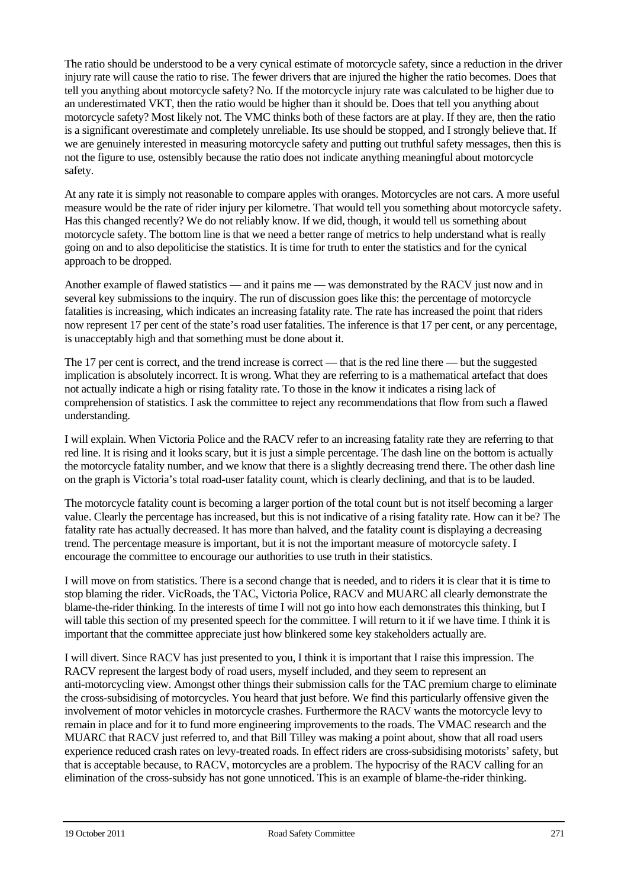The ratio should be understood to be a very cynical estimate of motorcycle safety, since a reduction in the driver injury rate will cause the ratio to rise. The fewer drivers that are injured the higher the ratio becomes. Does that tell you anything about motorcycle safety? No. If the motorcycle injury rate was calculated to be higher due to an underestimated VKT, then the ratio would be higher than it should be. Does that tell you anything about motorcycle safety? Most likely not. The VMC thinks both of these factors are at play. If they are, then the ratio is a significant overestimate and completely unreliable. Its use should be stopped, and I strongly believe that. If we are genuinely interested in measuring motorcycle safety and putting out truthful safety messages, then this is not the figure to use, ostensibly because the ratio does not indicate anything meaningful about motorcycle safety.

At any rate it is simply not reasonable to compare apples with oranges. Motorcycles are not cars. A more useful measure would be the rate of rider injury per kilometre. That would tell you something about motorcycle safety. Has this changed recently? We do not reliably know. If we did, though, it would tell us something about motorcycle safety. The bottom line is that we need a better range of metrics to help understand what is really going on and to also depoliticise the statistics. It is time for truth to enter the statistics and for the cynical approach to be dropped.

Another example of flawed statistics — and it pains me — was demonstrated by the RACV just now and in several key submissions to the inquiry. The run of discussion goes like this: the percentage of motorcycle fatalities is increasing, which indicates an increasing fatality rate. The rate has increased the point that riders now represent 17 per cent of the state's road user fatalities. The inference is that 17 per cent, or any percentage, is unacceptably high and that something must be done about it.

The 17 per cent is correct, and the trend increase is correct — that is the red line there — but the suggested implication is absolutely incorrect. It is wrong. What they are referring to is a mathematical artefact that does not actually indicate a high or rising fatality rate. To those in the know it indicates a rising lack of comprehension of statistics. I ask the committee to reject any recommendations that flow from such a flawed understanding.

I will explain. When Victoria Police and the RACV refer to an increasing fatality rate they are referring to that red line. It is rising and it looks scary, but it is just a simple percentage. The dash line on the bottom is actually the motorcycle fatality number, and we know that there is a slightly decreasing trend there. The other dash line on the graph is Victoria's total road-user fatality count, which is clearly declining, and that is to be lauded.

The motorcycle fatality count is becoming a larger portion of the total count but is not itself becoming a larger value. Clearly the percentage has increased, but this is not indicative of a rising fatality rate. How can it be? The fatality rate has actually decreased. It has more than halved, and the fatality count is displaying a decreasing trend. The percentage measure is important, but it is not the important measure of motorcycle safety. I encourage the committee to encourage our authorities to use truth in their statistics.

I will move on from statistics. There is a second change that is needed, and to riders it is clear that it is time to stop blaming the rider. VicRoads, the TAC, Victoria Police, RACV and MUARC all clearly demonstrate the blame-the-rider thinking. In the interests of time I will not go into how each demonstrates this thinking, but I will table this section of my presented speech for the committee. I will return to it if we have time. I think it is important that the committee appreciate just how blinkered some key stakeholders actually are.

I will divert. Since RACV has just presented to you, I think it is important that I raise this impression. The RACV represent the largest body of road users, myself included, and they seem to represent an anti-motorcycling view. Amongst other things their submission calls for the TAC premium charge to eliminate the cross-subsidising of motorcycles. You heard that just before. We find this particularly offensive given the involvement of motor vehicles in motorcycle crashes. Furthermore the RACV wants the motorcycle levy to remain in place and for it to fund more engineering improvements to the roads. The VMAC research and the MUARC that RACV just referred to, and that Bill Tilley was making a point about, show that all road users experience reduced crash rates on levy-treated roads. In effect riders are cross-subsidising motorists' safety, but that is acceptable because, to RACV, motorcycles are a problem. The hypocrisy of the RACV calling for an elimination of the cross-subsidy has not gone unnoticed. This is an example of blame-the-rider thinking.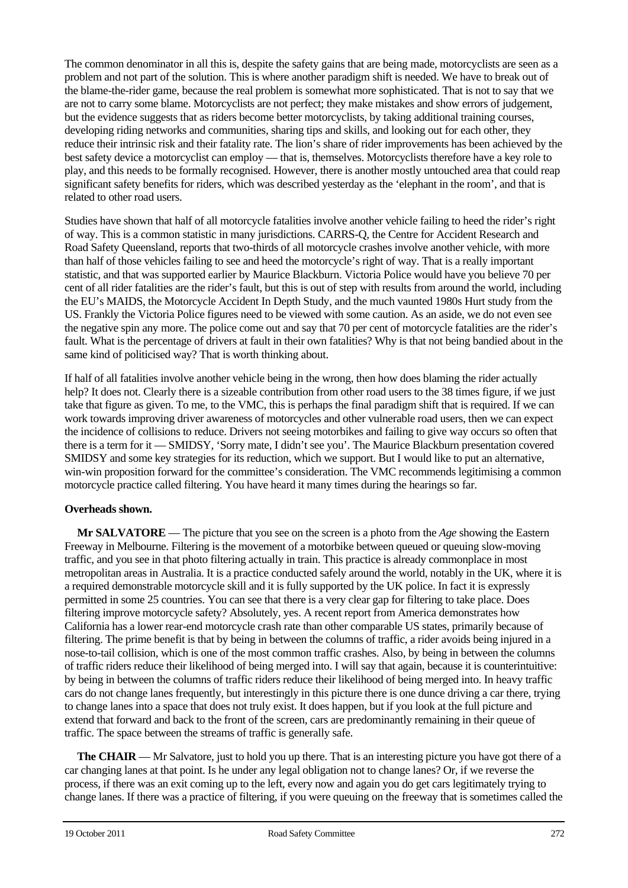The common denominator in all this is, despite the safety gains that are being made, motorcyclists are seen as a problem and not part of the solution. This is where another paradigm shift is needed. We have to break out of the blame-the-rider game, because the real problem is somewhat more sophisticated. That is not to say that we are not to carry some blame. Motorcyclists are not perfect; they make mistakes and show errors of judgement, but the evidence suggests that as riders become better motorcyclists, by taking additional training courses, developing riding networks and communities, sharing tips and skills, and looking out for each other, they reduce their intrinsic risk and their fatality rate. The lion's share of rider improvements has been achieved by the best safety device a motorcyclist can employ — that is, themselves. Motorcyclists therefore have a key role to play, and this needs to be formally recognised. However, there is another mostly untouched area that could reap significant safety benefits for riders, which was described yesterday as the 'elephant in the room', and that is related to other road users.

Studies have shown that half of all motorcycle fatalities involve another vehicle failing to heed the rider's right of way. This is a common statistic in many jurisdictions. CARRS-Q, the Centre for Accident Research and Road Safety Queensland, reports that two-thirds of all motorcycle crashes involve another vehicle, with more than half of those vehicles failing to see and heed the motorcycle's right of way. That is a really important statistic, and that was supported earlier by Maurice Blackburn. Victoria Police would have you believe 70 per cent of all rider fatalities are the rider's fault, but this is out of step with results from around the world, including the EU's MAIDS, the Motorcycle Accident In Depth Study, and the much vaunted 1980s Hurt study from the US. Frankly the Victoria Police figures need to be viewed with some caution. As an aside, we do not even see the negative spin any more. The police come out and say that 70 per cent of motorcycle fatalities are the rider's fault. What is the percentage of drivers at fault in their own fatalities? Why is that not being bandied about in the same kind of politicised way? That is worth thinking about.

If half of all fatalities involve another vehicle being in the wrong, then how does blaming the rider actually help? It does not. Clearly there is a sizeable contribution from other road users to the 38 times figure, if we just take that figure as given. To me, to the VMC, this is perhaps the final paradigm shift that is required. If we can work towards improving driver awareness of motorcycles and other vulnerable road users, then we can expect the incidence of collisions to reduce. Drivers not seeing motorbikes and failing to give way occurs so often that there is a term for it — SMIDSY, 'Sorry mate, I didn't see you'. The Maurice Blackburn presentation covered SMIDSY and some key strategies for its reduction, which we support. But I would like to put an alternative, win-win proposition forward for the committee's consideration. The VMC recommends legitimising a common motorcycle practice called filtering. You have heard it many times during the hearings so far.

### **Overheads shown.**

**Mr SALVATORE** — The picture that you see on the screen is a photo from the *Age* showing the Eastern Freeway in Melbourne. Filtering is the movement of a motorbike between queued or queuing slow-moving traffic, and you see in that photo filtering actually in train. This practice is already commonplace in most metropolitan areas in Australia. It is a practice conducted safely around the world, notably in the UK, where it is a required demonstrable motorcycle skill and it is fully supported by the UK police. In fact it is expressly permitted in some 25 countries. You can see that there is a very clear gap for filtering to take place. Does filtering improve motorcycle safety? Absolutely, yes. A recent report from America demonstrates how California has a lower rear-end motorcycle crash rate than other comparable US states, primarily because of filtering. The prime benefit is that by being in between the columns of traffic, a rider avoids being injured in a nose-to-tail collision, which is one of the most common traffic crashes. Also, by being in between the columns of traffic riders reduce their likelihood of being merged into. I will say that again, because it is counterintuitive: by being in between the columns of traffic riders reduce their likelihood of being merged into. In heavy traffic cars do not change lanes frequently, but interestingly in this picture there is one dunce driving a car there, trying to change lanes into a space that does not truly exist. It does happen, but if you look at the full picture and extend that forward and back to the front of the screen, cars are predominantly remaining in their queue of traffic. The space between the streams of traffic is generally safe.

**The CHAIR** — Mr Salvatore, just to hold you up there. That is an interesting picture you have got there of a car changing lanes at that point. Is he under any legal obligation not to change lanes? Or, if we reverse the process, if there was an exit coming up to the left, every now and again you do get cars legitimately trying to change lanes. If there was a practice of filtering, if you were queuing on the freeway that is sometimes called the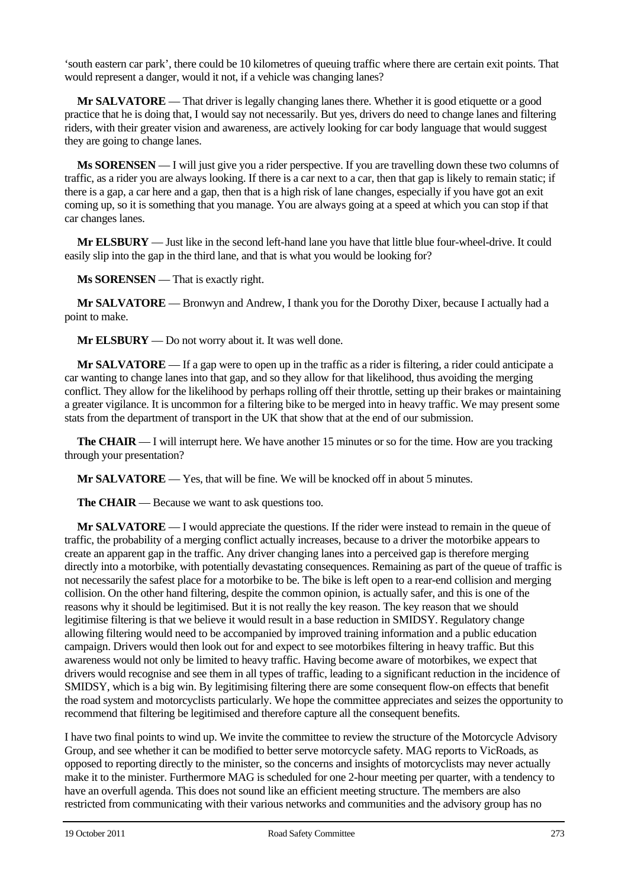'south eastern car park', there could be 10 kilometres of queuing traffic where there are certain exit points. That would represent a danger, would it not, if a vehicle was changing lanes?

**Mr SALVATORE** — That driver is legally changing lanes there. Whether it is good etiquette or a good practice that he is doing that, I would say not necessarily. But yes, drivers do need to change lanes and filtering riders, with their greater vision and awareness, are actively looking for car body language that would suggest they are going to change lanes.

**Ms SORENSEN** — I will just give you a rider perspective. If you are travelling down these two columns of traffic, as a rider you are always looking. If there is a car next to a car, then that gap is likely to remain static; if there is a gap, a car here and a gap, then that is a high risk of lane changes, especially if you have got an exit coming up, so it is something that you manage. You are always going at a speed at which you can stop if that car changes lanes.

**Mr ELSBURY** — Just like in the second left-hand lane you have that little blue four-wheel-drive. It could easily slip into the gap in the third lane, and that is what you would be looking for?

**Ms SORENSEN** — That is exactly right.

**Mr SALVATORE** — Bronwyn and Andrew, I thank you for the Dorothy Dixer, because I actually had a point to make.

**Mr ELSBURY** — Do not worry about it. It was well done.

**Mr SALVATORE** — If a gap were to open up in the traffic as a rider is filtering, a rider could anticipate a car wanting to change lanes into that gap, and so they allow for that likelihood, thus avoiding the merging conflict. They allow for the likelihood by perhaps rolling off their throttle, setting up their brakes or maintaining a greater vigilance. It is uncommon for a filtering bike to be merged into in heavy traffic. We may present some stats from the department of transport in the UK that show that at the end of our submission.

**The CHAIR** — I will interrupt here. We have another 15 minutes or so for the time. How are you tracking through your presentation?

**Mr SALVATORE** — Yes, that will be fine. We will be knocked off in about 5 minutes.

**The CHAIR** — Because we want to ask questions too.

**Mr SALVATORE** — I would appreciate the questions. If the rider were instead to remain in the queue of traffic, the probability of a merging conflict actually increases, because to a driver the motorbike appears to create an apparent gap in the traffic. Any driver changing lanes into a perceived gap is therefore merging directly into a motorbike, with potentially devastating consequences. Remaining as part of the queue of traffic is not necessarily the safest place for a motorbike to be. The bike is left open to a rear-end collision and merging collision. On the other hand filtering, despite the common opinion, is actually safer, and this is one of the reasons why it should be legitimised. But it is not really the key reason. The key reason that we should legitimise filtering is that we believe it would result in a base reduction in SMIDSY. Regulatory change allowing filtering would need to be accompanied by improved training information and a public education campaign. Drivers would then look out for and expect to see motorbikes filtering in heavy traffic. But this awareness would not only be limited to heavy traffic. Having become aware of motorbikes, we expect that drivers would recognise and see them in all types of traffic, leading to a significant reduction in the incidence of SMIDSY, which is a big win. By legitimising filtering there are some consequent flow-on effects that benefit the road system and motorcyclists particularly. We hope the committee appreciates and seizes the opportunity to recommend that filtering be legitimised and therefore capture all the consequent benefits.

I have two final points to wind up. We invite the committee to review the structure of the Motorcycle Advisory Group, and see whether it can be modified to better serve motorcycle safety. MAG reports to VicRoads, as opposed to reporting directly to the minister, so the concerns and insights of motorcyclists may never actually make it to the minister. Furthermore MAG is scheduled for one 2-hour meeting per quarter, with a tendency to have an overfull agenda. This does not sound like an efficient meeting structure. The members are also restricted from communicating with their various networks and communities and the advisory group has no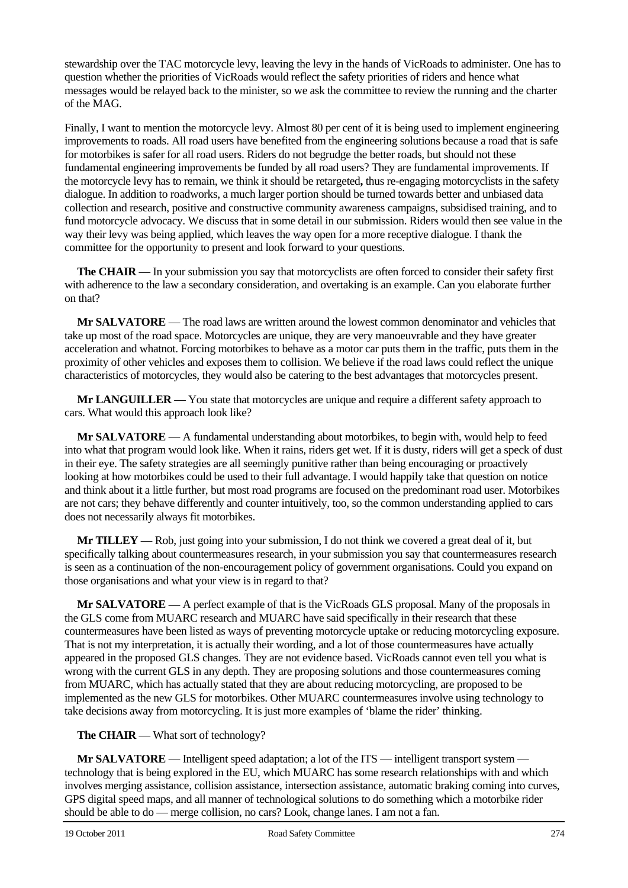stewardship over the TAC motorcycle levy, leaving the levy in the hands of VicRoads to administer. One has to question whether the priorities of VicRoads would reflect the safety priorities of riders and hence what messages would be relayed back to the minister, so we ask the committee to review the running and the charter of the MAG.

Finally, I want to mention the motorcycle levy. Almost 80 per cent of it is being used to implement engineering improvements to roads. All road users have benefited from the engineering solutions because a road that is safe for motorbikes is safer for all road users. Riders do not begrudge the better roads, but should not these fundamental engineering improvements be funded by all road users? They are fundamental improvements. If the motorcycle levy has to remain, we think it should be retargeted**,** thus re-engaging motorcyclists in the safety dialogue. In addition to roadworks, a much larger portion should be turned towards better and unbiased data collection and research, positive and constructive community awareness campaigns, subsidised training, and to fund motorcycle advocacy. We discuss that in some detail in our submission. Riders would then see value in the way their levy was being applied, which leaves the way open for a more receptive dialogue. I thank the committee for the opportunity to present and look forward to your questions.

**The CHAIR** — In your submission you say that motorcyclists are often forced to consider their safety first with adherence to the law a secondary consideration, and overtaking is an example. Can you elaborate further on that?

**Mr SALVATORE** — The road laws are written around the lowest common denominator and vehicles that take up most of the road space. Motorcycles are unique, they are very manoeuvrable and they have greater acceleration and whatnot. Forcing motorbikes to behave as a motor car puts them in the traffic, puts them in the proximity of other vehicles and exposes them to collision. We believe if the road laws could reflect the unique characteristics of motorcycles, they would also be catering to the best advantages that motorcycles present.

**Mr LANGUILLER** — You state that motorcycles are unique and require a different safety approach to cars. What would this approach look like?

**Mr SALVATORE** — A fundamental understanding about motorbikes, to begin with, would help to feed into what that program would look like. When it rains, riders get wet. If it is dusty, riders will get a speck of dust in their eye. The safety strategies are all seemingly punitive rather than being encouraging or proactively looking at how motorbikes could be used to their full advantage. I would happily take that question on notice and think about it a little further, but most road programs are focused on the predominant road user. Motorbikes are not cars; they behave differently and counter intuitively, too, so the common understanding applied to cars does not necessarily always fit motorbikes.

**Mr TILLEY** — Rob, just going into your submission, I do not think we covered a great deal of it, but specifically talking about countermeasures research, in your submission you say that countermeasures research is seen as a continuation of the non-encouragement policy of government organisations. Could you expand on those organisations and what your view is in regard to that?

**Mr SALVATORE** — A perfect example of that is the VicRoads GLS proposal. Many of the proposals in the GLS come from MUARC research and MUARC have said specifically in their research that these countermeasures have been listed as ways of preventing motorcycle uptake or reducing motorcycling exposure. That is not my interpretation, it is actually their wording, and a lot of those countermeasures have actually appeared in the proposed GLS changes. They are not evidence based. VicRoads cannot even tell you what is wrong with the current GLS in any depth. They are proposing solutions and those countermeasures coming from MUARC, which has actually stated that they are about reducing motorcycling, are proposed to be implemented as the new GLS for motorbikes. Other MUARC countermeasures involve using technology to take decisions away from motorcycling. It is just more examples of 'blame the rider' thinking.

#### **The CHAIR** — What sort of technology?

**Mr SALVATORE** — Intelligent speed adaptation; a lot of the ITS — intelligent transport system technology that is being explored in the EU, which MUARC has some research relationships with and which involves merging assistance, collision assistance, intersection assistance, automatic braking coming into curves, GPS digital speed maps, and all manner of technological solutions to do something which a motorbike rider should be able to do — merge collision, no cars? Look, change lanes. I am not a fan.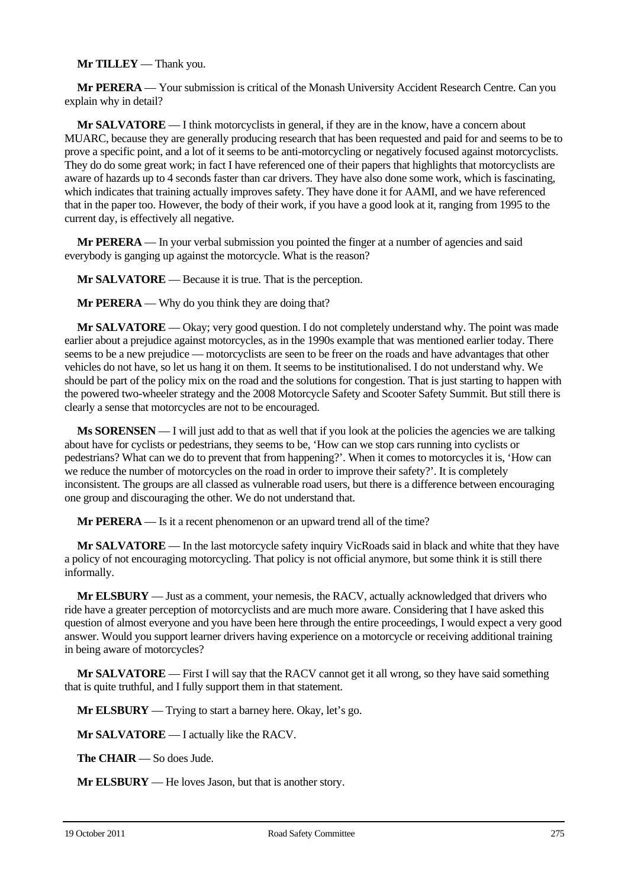#### **Mr TILLEY** — Thank you.

**Mr PERERA** — Your submission is critical of the Monash University Accident Research Centre. Can you explain why in detail?

**Mr SALVATORE** — I think motorcyclists in general, if they are in the know, have a concern about MUARC, because they are generally producing research that has been requested and paid for and seems to be to prove a specific point, and a lot of it seems to be anti-motorcycling or negatively focused against motorcyclists. They do do some great work; in fact I have referenced one of their papers that highlights that motorcyclists are aware of hazards up to 4 seconds faster than car drivers. They have also done some work, which is fascinating, which indicates that training actually improves safety. They have done it for AAMI, and we have referenced that in the paper too. However, the body of their work, if you have a good look at it, ranging from 1995 to the current day, is effectively all negative.

**Mr PERERA** — In your verbal submission you pointed the finger at a number of agencies and said everybody is ganging up against the motorcycle. What is the reason?

**Mr SALVATORE** — Because it is true. That is the perception.

**Mr PERERA** — Why do you think they are doing that?

**Mr SALVATORE** — Okay; very good question. I do not completely understand why. The point was made earlier about a prejudice against motorcycles, as in the 1990s example that was mentioned earlier today. There seems to be a new prejudice — motorcyclists are seen to be freer on the roads and have advantages that other vehicles do not have, so let us hang it on them. It seems to be institutionalised. I do not understand why. We should be part of the policy mix on the road and the solutions for congestion. That is just starting to happen with the powered two-wheeler strategy and the 2008 Motorcycle Safety and Scooter Safety Summit. But still there is clearly a sense that motorcycles are not to be encouraged.

**Ms SORENSEN** — I will just add to that as well that if you look at the policies the agencies we are talking about have for cyclists or pedestrians, they seems to be, 'How can we stop cars running into cyclists or pedestrians? What can we do to prevent that from happening?'. When it comes to motorcycles it is, 'How can we reduce the number of motorcycles on the road in order to improve their safety?'. It is completely inconsistent. The groups are all classed as vulnerable road users, but there is a difference between encouraging one group and discouraging the other. We do not understand that.

**Mr PERERA** — Is it a recent phenomenon or an upward trend all of the time?

**Mr SALVATORE** — In the last motorcycle safety inquiry VicRoads said in black and white that they have a policy of not encouraging motorcycling. That policy is not official anymore, but some think it is still there informally.

**Mr ELSBURY** — Just as a comment, your nemesis, the RACV, actually acknowledged that drivers who ride have a greater perception of motorcyclists and are much more aware. Considering that I have asked this question of almost everyone and you have been here through the entire proceedings, I would expect a very good answer. Would you support learner drivers having experience on a motorcycle or receiving additional training in being aware of motorcycles?

**Mr SALVATORE** — First I will say that the RACV cannot get it all wrong, so they have said something that is quite truthful, and I fully support them in that statement.

**Mr ELSBURY** — Trying to start a barney here. Okay, let's go.

**Mr SALVATORE** — I actually like the RACV.

**The CHAIR** — So does Jude.

**Mr ELSBURY** — He loves Jason, but that is another story.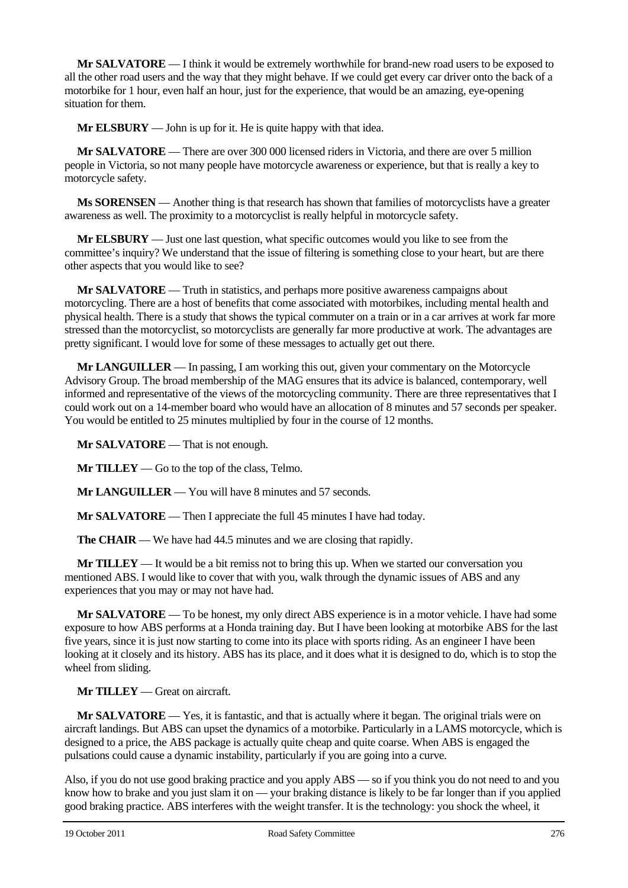**Mr SALVATORE** — I think it would be extremely worthwhile for brand-new road users to be exposed to all the other road users and the way that they might behave. If we could get every car driver onto the back of a motorbike for 1 hour, even half an hour, just for the experience, that would be an amazing, eye-opening situation for them.

**Mr ELSBURY** — John is up for it. He is quite happy with that idea.

**Mr SALVATORE** — There are over 300 000 licensed riders in Victoria, and there are over 5 million people in Victoria, so not many people have motorcycle awareness or experience, but that is really a key to motorcycle safety.

**Ms SORENSEN** — Another thing is that research has shown that families of motorcyclists have a greater awareness as well. The proximity to a motorcyclist is really helpful in motorcycle safety.

**Mr ELSBURY** — Just one last question, what specific outcomes would you like to see from the committee's inquiry? We understand that the issue of filtering is something close to your heart, but are there other aspects that you would like to see?

**Mr SALVATORE** — Truth in statistics, and perhaps more positive awareness campaigns about motorcycling. There are a host of benefits that come associated with motorbikes, including mental health and physical health. There is a study that shows the typical commuter on a train or in a car arrives at work far more stressed than the motorcyclist, so motorcyclists are generally far more productive at work. The advantages are pretty significant. I would love for some of these messages to actually get out there.

**Mr LANGUILLER** — In passing, I am working this out, given your commentary on the Motorcycle Advisory Group. The broad membership of the MAG ensures that its advice is balanced, contemporary, well informed and representative of the views of the motorcycling community. There are three representatives that I could work out on a 14-member board who would have an allocation of 8 minutes and 57 seconds per speaker. You would be entitled to 25 minutes multiplied by four in the course of 12 months.

**Mr SALVATORE** — That is not enough.

**Mr TILLEY** — Go to the top of the class, Telmo.

**Mr LANGUILLER** — You will have 8 minutes and 57 seconds.

**Mr SALVATORE** — Then I appreciate the full 45 minutes I have had today.

**The CHAIR** — We have had 44.5 minutes and we are closing that rapidly.

**Mr TILLEY** — It would be a bit remiss not to bring this up. When we started our conversation you mentioned ABS. I would like to cover that with you, walk through the dynamic issues of ABS and any experiences that you may or may not have had.

**Mr SALVATORE** — To be honest, my only direct ABS experience is in a motor vehicle. I have had some exposure to how ABS performs at a Honda training day. But I have been looking at motorbike ABS for the last five years, since it is just now starting to come into its place with sports riding. As an engineer I have been looking at it closely and its history. ABS has its place, and it does what it is designed to do, which is to stop the wheel from sliding.

## **Mr TILLEY** — Great on aircraft.

**Mr SALVATORE** — Yes, it is fantastic, and that is actually where it began. The original trials were on aircraft landings. But ABS can upset the dynamics of a motorbike. Particularly in a LAMS motorcycle, which is designed to a price, the ABS package is actually quite cheap and quite coarse. When ABS is engaged the pulsations could cause a dynamic instability, particularly if you are going into a curve.

Also, if you do not use good braking practice and you apply ABS — so if you think you do not need to and you know how to brake and you just slam it on — your braking distance is likely to be far longer than if you applied good braking practice. ABS interferes with the weight transfer. It is the technology: you shock the wheel, it